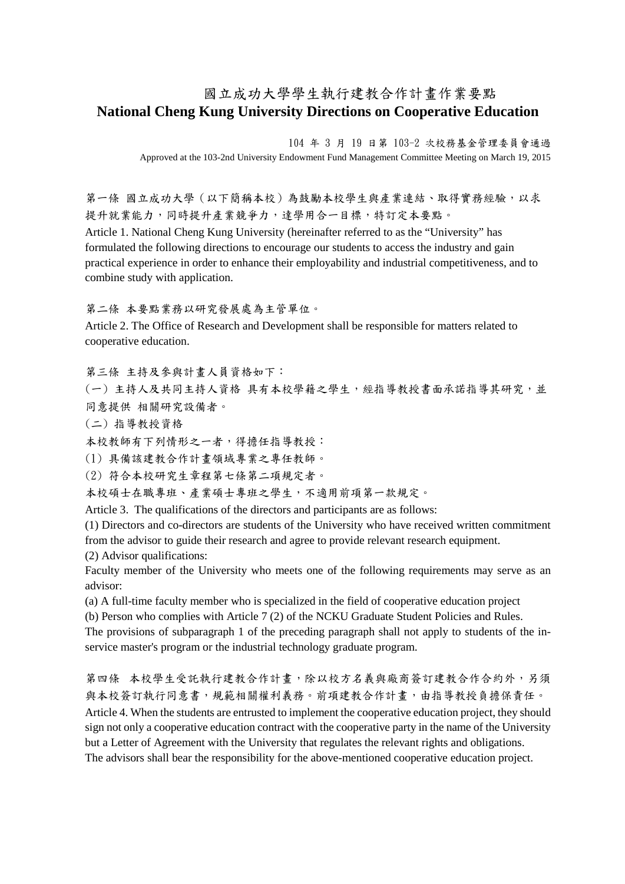## 國立成功大學學生執行建教合作計畫作業要點 **National Cheng Kung University Directions on Cooperative Education**

104 年 3 月 19 日第 103-2 次校務基金管理委員會通過 Approved at the 103-2nd University Endowment Fund Management Committee Meeting on March 19, 2015

第一條 國立成功大學(以下簡稱本校)為鼓勵本校學生與產業連結、取得實務經驗,以求 提升就業能力,同時提升產業競爭力,達學用合一目標,特訂定本要點。

Article 1. National Cheng Kung University (hereinafter referred to as the "University" has formulated the following directions to encourage our students to access the industry and gain practical experience in order to enhance their employability and industrial competitiveness, and to combine study with application.

第二條 本要點業務以研究發展處為主管單位。

Article 2. The Office of Research and Development shall be responsible for matters related to cooperative education.

第三條 主持及參與計畫人員資格如下:

(一) 主持人及共同主持人資格 具有本校學籍之學生,經指導教授書面承諾指導其研究,並 同意提供 相關研究設備者。

(二) 指導教授資格

本校教師有下列情形之一者,得擔任指導教授:

(1) 具備該建教合作計畫領域專業之專任教師。

(2) 符合本校研究生章程第七條第二項規定者。

本校碩士在職專班、產業碩士專班之學生,不適用前項第一款規定。

Article 3. The qualifications of the directors and participants are as follows:

(1) Directors and co-directors are students of the University who have received written commitment from the advisor to guide their research and agree to provide relevant research equipment.

(2) Advisor qualifications:

Faculty member of the University who meets one of the following requirements may serve as an advisor:

(a) A full-time faculty member who is specialized in the field of cooperative education project

(b) Person who complies with Article 7 (2) of the NCKU Graduate Student Policies and Rules.

The provisions of subparagraph 1 of the preceding paragraph shall not apply to students of the inservice master's program or the industrial technology graduate program.

第四條 本校學生受託執行建教合作計畫,除以校方名義與廠商簽訂建教合作合約外,另須 與本校簽訂執行同意書,規範相關權利義務。前項建教合作計書,由指導教授負擔保責任。 Article 4. When the students are entrusted to implement the cooperative education project, they should sign not only a cooperative education contract with the cooperative party in the name of the University but a Letter of Agreement with the University that regulates the relevant rights and obligations. The advisors shall bear the responsibility for the above-mentioned cooperative education project.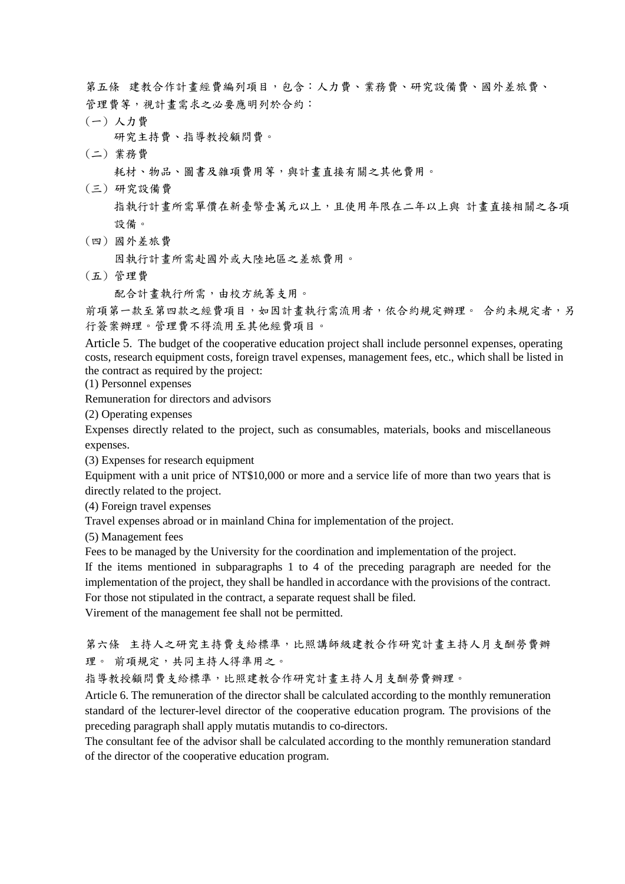第五條 建教合作計畫經費編列項目,包含:人力費、業務費、研究設備費、國外差旅費、 管理費等,視計畫需求之必要應明列於合約:

(一) 人力費

研究主持費、指導教授顧問費。

(二) 業務費

耗材、物品、圖書及雜項費用等,與計畫直接有關之其他費用。

(三) 研究設備費

 指執行計畫所需單價在新臺幣壹萬元以上,且使用年限在二年以上與 計畫直接相關之各項 設備。

(四) 國外差旅費

因執行計畫所需赴國外或大陸地區之差旅費用。

(五) 管理費

配合計畫執行所需,由校方統籌支用。

前項第一款至第四款之經費項目,如因計畫執行需流用者,依合約規定辦理。 合約未規定者,另 行簽案辦理。管理費不得流用至其他經費項目。

Article 5. The budget of the cooperative education project shall include personnel expenses, operating costs, research equipment costs, foreign travel expenses, management fees, etc., which shall be listed in the contract as required by the project:

(1) Personnel expenses

Remuneration for directors and advisors

(2) Operating expenses

Expenses directly related to the project, such as consumables, materials, books and miscellaneous expenses.

(3) Expenses for research equipment

Equipment with a unit price of NT\$10,000 or more and a service life of more than two years that is directly related to the project.

(4) Foreign travel expenses

Travel expenses abroad or in mainland China for implementation of the project.

(5) Management fees

Fees to be managed by the University for the coordination and implementation of the project.

If the items mentioned in subparagraphs 1 to 4 of the preceding paragraph are needed for the implementation of the project, they shall be handled in accordance with the provisions of the contract. For those not stipulated in the contract, a separate request shall be filed.

Virement of the management fee shall not be permitted.

第六條 主持人之研究主持費支給標準,比照講師級建教合作研究計畫主持人月支酬勞費辦 理。 前項規定,共同主持人得準用之。

指導教授顧問費支給標準,比照建教合作研究計畫主持人月支酬勞費辦理。

Article 6. The remuneration of the director shall be calculated according to the monthly remuneration standard of the lecturer-level director of the cooperative education program. The provisions of the preceding paragraph shall apply mutatis mutandis to co-directors.

The consultant fee of the advisor shall be calculated according to the monthly remuneration standard of the director of the cooperative education program.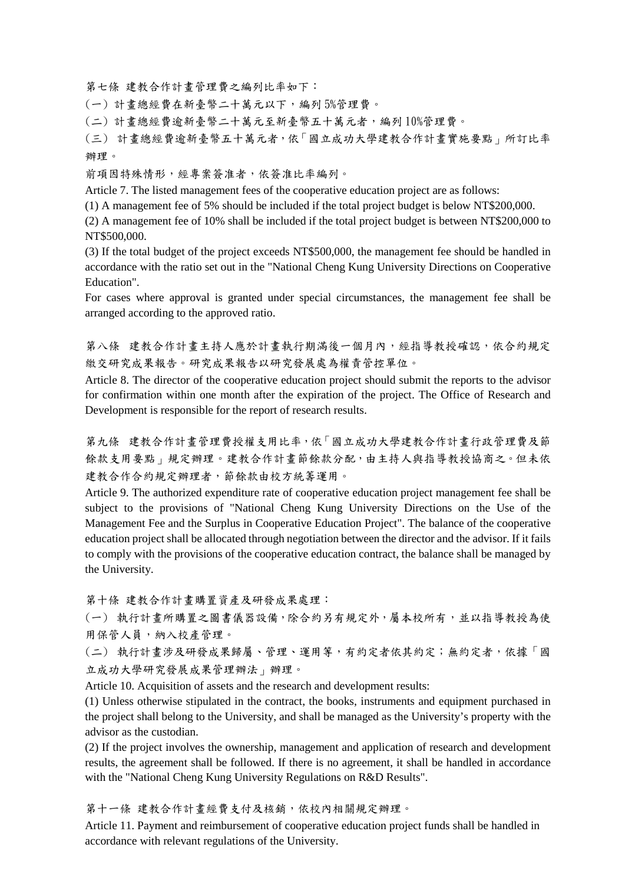第七條 建教合作計畫管理費之編列比率如下:

(一) 計畫總經費在新臺幣二十萬元以下,編列 5%管理費。

(二) 計畫總經費逾新臺幣二十萬元至新臺幣五十萬元者,編列 10%管理費。

(三) 計畫總經費逾新臺幣五十萬元者,依「國立成功大學建教合作計畫實施要點」所訂比率 辦理。

前項因特殊情形,經專案簽准者,依簽准比率編列。

Article 7. The listed management fees of the cooperative education project are as follows:

(1) A management fee of 5% should be included if the total project budget is below NT\$200,000.

(2) A management fee of 10% shall be included if the total project budget is between NT\$200,000 to NT\$500,000.

(3) If the total budget of the project exceeds NT\$500,000, the management fee should be handled in accordance with the ratio set out in the "National Cheng Kung University Directions on Cooperative Education".

For cases where approval is granted under special circumstances, the management fee shall be arranged according to the approved ratio.

第八條 建教合作計畫主持人應於計畫執行期滿後一個月內,經指導教授確認,依合約規定 繳交研究成果報告。研究成果報告以研究發展處為權責管控單位。

Article 8. The director of the cooperative education project should submit the reports to the advisor for confirmation within one month after the expiration of the project. The Office of Research and Development is responsible for the report of research results.

第九條 建教合作計畫管理費授權支用比率,依「國立成功大學建教合作計畫行政管理費及節 餘款支用要點」規定辦理。建教合作計畫節餘款分配,由主持人與指導教授協商之。但未依 建教合作合約規定辦理者,節餘款由校方統籌運用。

Article 9. The authorized expenditure rate of cooperative education project management fee shall be subject to the provisions of "National Cheng Kung University Directions on the Use of the Management Fee and the Surplus in Cooperative Education Project". The balance of the cooperative education project shall be allocated through negotiation between the director and the advisor. If it fails to comply with the provisions of the cooperative education contract, the balance shall be managed by the University.

第十條 建教合作計畫購置資產及研發成果處理:

(一) 執行計畫所購置之圖書儀器設備,除合約另有規定外,屬本校所有,並以指導教授為使 用保管人員,納入校產管理。

(二) 執行計畫涉及研發成果歸屬、管理、運用等,有約定者依其約定;無約定者,依據「國 立成功大學研究發展成果管理辦法」辦理。

Article 10. Acquisition of assets and the research and development results:

(1) Unless otherwise stipulated in the contract, the books, instruments and equipment purchased in the project shall belong to the University, and shall be managed as the University's property with the advisor as the custodian.

(2) If the project involves the ownership, management and application of research and development results, the agreement shall be followed. If there is no agreement, it shall be handled in accordance with the "National Cheng Kung University Regulations on R&D Results".

第十一條 建教合作計畫經費支付及核銷,依校內相關規定辦理。

Article 11. Payment and reimbursement of cooperative education project funds shall be handled in accordance with relevant regulations of the University.